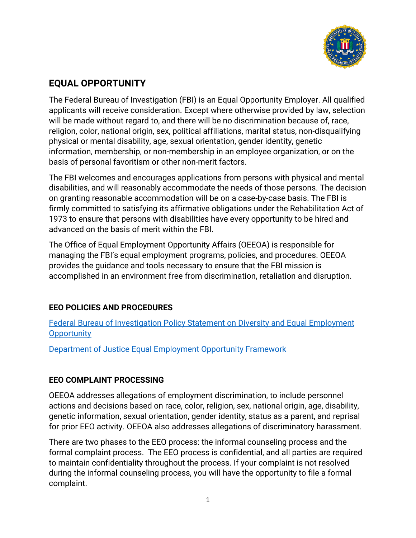

# **EQUAL OPPORTUNITY**

 The Federal Bureau of Investigation (FBI) is an Equal Opportunity Employer. All qualified applicants will receive consideration. Except where otherwise provided by law, selection will be made without regard to, and there will be no discrimination because of, race, religion, color, national origin, sex, political affiliations, marital status, non-disqualifying physical or mental disability, age, sexual orientation, gender identity, genetic information, membership, or non-membership in an employee organization, or on the basis of personal favoritism or other non-merit factors.

 The FBI welcomes and encourages applications from persons with physical and mental disabilities, and will reasonably accommodate the needs of those persons. The decision on granting reasonable accommodation will be on a case-by-case basis. The FBI is firmly committed to satisfying its affirmative obligations under the Rehabilitation Act of 1973 to ensure that persons with disabilities have every opportunity to be hired and advanced on the basis of merit within the FBI.

 The Office of Equal Employment Opportunity Affairs (OEEOA) is responsible for managing the FBI's equal employment programs, policies, and procedures. OEEOA provides the guidance and tools necessary to ensure that the FBI mission is accomplished in an environment free from discrimination, retaliation and disruption.

## **EEO POLICIES AND PROCEDURES**

 Federal Bureau of Investigation Policy Statement on Diversity and Equal Employment **Opportunity** 

Department of Justice Equal Employment Opportunity Framework

### **EEO COMPLAINT PROCESSING**

 OEEOA addresses allegations of employment discrimination, to include personnel actions and decisions based on race, color, religion, sex, national origin, age, disability, genetic information, sexual orientation, gender identity, status as a parent, and reprisal for prior EEO activity. OEEOA also addresses allegations of discriminatory harassment.

 There are two phases to the EEO process: the informal counseling process and the formal complaint process. The EEO process is confidential, and all parties are required to maintain confidentiality throughout the process. If your complaint is not resolved during the informal counseling process, you will have the opportunity to file a formal complaint.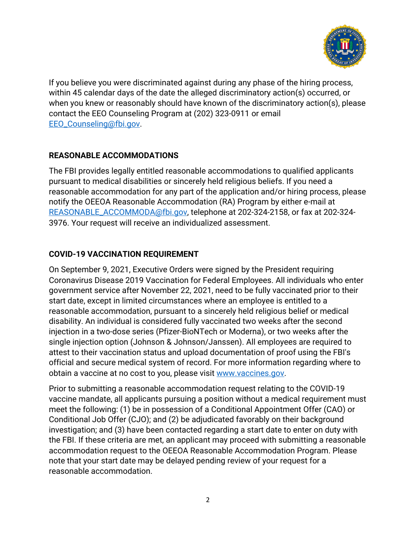

 If you believe you were discriminated against during any phase of the hiring process, within 45 calendar days of the date the alleged discriminatory action(s) occurred, or when you knew or reasonably should have known of the discriminatory action(s), please contact the EEO Counseling Program at (202) 323-0911 or email [EEO\\_Counseling@fbi.gov](mailto:EEO_Counseling@fbi.gov).

### **REASONABLE ACCOMMODATIONS**

 The FBI provides legally entitled reasonable accommodations to qualified applicants pursuant to medical disabilities or sincerely held religious beliefs. If you need a reasonable accommodation for any part of the application and/or hiring process, please notify the OEEOA Reasonable Accommodation (RA) Program by either e-mail at [REASONABLE\\_ACCOMMODA@fbi.gov,](mailto:REASONABLE_ACCOMMODA@fbi.gov) telephone at 202-324-2158, or fax at 202-324- 3976. Your request will receive an individualized assessment.

### **COVID-19 VACCINATION REQUIREMENT**

 On September 9, 2021, Executive Orders were signed by the President requiring Coronavirus Disease 2019 Vaccination for Federal Employees. All individuals who enter government service after November 22, 2021, need to be fully vaccinated prior to their start date, except in limited circumstances where an employee is entitled to a reasonable accommodation, pursuant to a sincerely held religious belief or medical disability. An individual is considered fully vaccinated two weeks after the second injection in a two-dose series (Pfizer-BioNTech or Moderna), or two weeks after the single injection option (Johnson & Johnson/Janssen). All employees are required to attest to their vaccination status and upload documentation of proof using the FBI's official and secure medical system of record. For more information regarding where to obtain a vaccine at no cost to you, please visit [www.vaccines.gov.](www.vaccines.gov)

 Prior to submitting a reasonable accommodation request relating to the COVID-19 vaccine mandate, all applicants pursuing a position without a medical requirement must meet the following: (1) be in possession of a Conditional Appointment Offer (CAO) or Conditional Job Offer (CJO); and (2) be adjudicated favorably on their background investigation; and (3) have been contacted regarding a start date to enter on duty with the FBI. If these criteria are met, an applicant may proceed with submitting a reasonable accommodation request to the OEEOA Reasonable Accommodation Program. Please note that your start date may be delayed pending review of your request for a reasonable accommodation.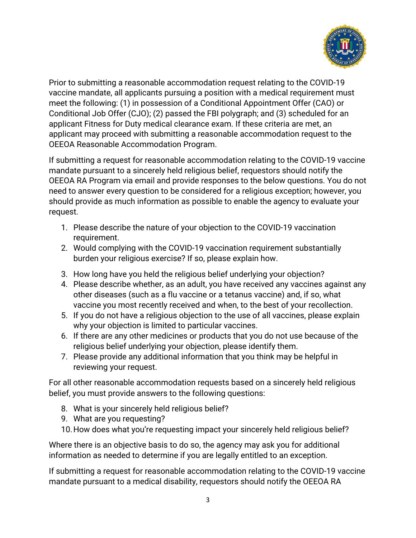

 Prior to submitting a reasonable accommodation request relating to the COVID-19 vaccine mandate, all applicants pursuing a position with a medical requirement must meet the following: (1) in possession of a Conditional Appointment Offer (CAO) or Conditional Job Offer (CJO); (2) passed the FBI polygraph; and (3) scheduled for an applicant Fitness for Duty medical clearance exam. If these criteria are met, an applicant may proceed with submitting a reasonable accommodation request to the OEEOA Reasonable Accommodation Program.

 If submitting a request for reasonable accommodation relating to the COVID-19 vaccine mandate pursuant to a sincerely held religious belief, requestors should notify the OEEOA RA Program via email and provide responses to the below questions. You do not need to answer every question to be considered for a religious exception; however, you should provide as much information as possible to enable the agency to evaluate your request.

- 1. Please describe the nature of your objection to the COVID-19 vaccination requirement.
- 2. Would complying with the COVID-19 vaccination requirement substantially burden your religious exercise? If so, please explain how.
- 3. How long have you held the religious belief underlying your objection?
- 4. Please describe whether, as an adult, you have received any vaccines against any other diseases (such as a flu vaccine or a tetanus vaccine) and, if so, what vaccine you most recently received and when, to the best of your recollection.
- 5. If you do not have a religious objection to the use of all vaccines, please explain why your objection is limited to particular vaccines.
- 6. If there are any other medicines or products that you do not use because of the religious belief underlying your objection, please identify them.
- 7. Please provide any additional information that you think may be helpful in reviewing your request.

 For all other reasonable accommodation requests based on a sincerely held religious belief, you must provide answers to the following questions:

- 8. What is your sincerely held religious belief?
- 9. What are you requesting?
- 10.How does what you're requesting impact your sincerely held religious belief?

 Where there is an objective basis to do so, the agency may ask you for additional information as needed to determine if you are legally entitled to an exception.

 If submitting a request for reasonable accommodation relating to the COVID-19 vaccine mandate pursuant to a medical disability, requestors should notify the OEEOA RA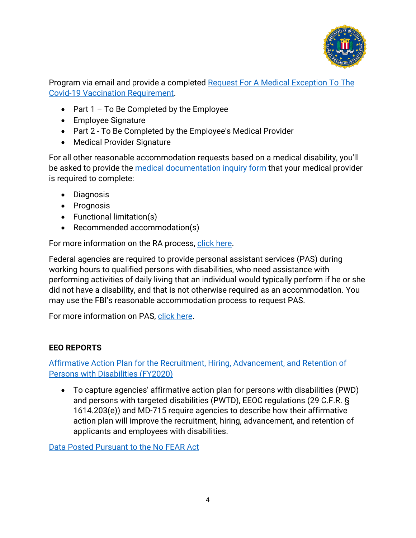

Program via email and provide a completed <u>Request For A Medical Exception To The</u> Covid-19 Vaccination Requirement.

- Part 1 To Be Completed by the Employee
- Employee Signature
- Part 2 To Be Completed by the Employee's Medical Provider
- Medical Provider Signature

 For all other reasonable accommodation requests based on a medical disability, you'll be asked to provide the <u>medical documentation inquiry form</u> that your medical provider is required to complete:

- Diagnosis
- Prognosis
- Functional limitation(s)
- Recommended accommodation(s)

For more information on the RA process, click here.

 Federal agencies are required to provide personal assistant services (PAS) during working hours to qualified persons with disabilities, who need assistance with performing activities of daily living that an individual would typically perform if he or she did not have a disability, and that is not otherwise required as an accommodation. You may use the FBI's reasonable accommodation process to request PAS.

For more information on PAS, click here.

## **EEO REPORTS**

 Affirmative Action Plan for the Recruitment, Hiring, Advancement, and Retention of Persons with Disabilities (FY2020)

 • To capture agencies' affirmative action plan for persons with disabilities (PWD) and persons with targeted disabilities (PWTD), EEOC regulations (29 C.F.R. § 1614.203(e)) and MD-715 require agencies to describe how their affirmative action plan will improve the recruitment, hiring, advancement, and retention of applicants and employees with disabilities.

Data Posted Pursuant to the No FEAR Act